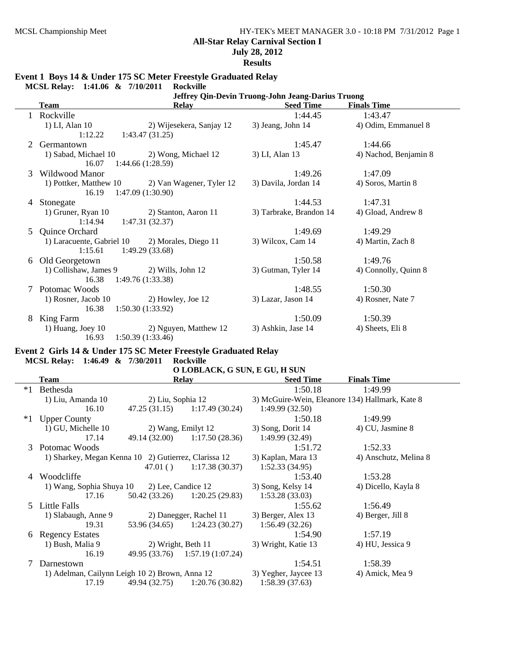# **All-Star Relay Carnival Section I**

**July 28, 2012**

**Results**

## **Event 1 Boys 14 & Under 175 SC Meter Freestyle Graduated Relay**

**MCSL Relay: 1:41.06 & 7/10/2011 Rockville**

|   |                           | Jeffrey Qin-Devin Truong-John Jeang-Darius Truong |                         |                       |  |  |  |  |
|---|---------------------------|---------------------------------------------------|-------------------------|-----------------------|--|--|--|--|
|   | <b>Team</b>               | <b>Relay</b>                                      | <b>Seed Time</b>        | <b>Finals Time</b>    |  |  |  |  |
|   | Rockville                 |                                                   | 1:44.45                 | 1:43.47               |  |  |  |  |
|   | 1) LI, Alan 10            | 2) Wijesekera, Sanjay 12                          | 3) Jeang, John 14       | 4) Odim, Emmanuel 8   |  |  |  |  |
|   | 1:12.22                   | 1:43.47(31.25)                                    |                         |                       |  |  |  |  |
|   | Germantown                |                                                   | 1:45.47                 | 1:44.66               |  |  |  |  |
|   | 1) Sabad, Michael 10      | 2) Wong, Michael 12                               | 3) LI, Alan 13          | 4) Nachod, Benjamin 8 |  |  |  |  |
|   | 16.07                     | 1:44.66(1:28.59)                                  |                         |                       |  |  |  |  |
| 3 | Wildwood Manor            |                                                   | 1:49.26                 | 1:47.09               |  |  |  |  |
|   | 1) Pottker, Matthew 10    | 2) Van Wagener, Tyler 12                          | 3) Davila, Jordan 14    | 4) Soros, Martin 8    |  |  |  |  |
|   | 16.19                     | 1:47.09(1:30.90)                                  |                         |                       |  |  |  |  |
| 4 | Stonegate                 |                                                   | 1:44.53                 | 1:47.31               |  |  |  |  |
|   | 1) Gruner, Ryan 10        | 2) Stanton, Aaron 11                              | 3) Tarbrake, Brandon 14 | 4) Gload, Andrew 8    |  |  |  |  |
|   | 1:14.94                   | 1:47.31(32.37)                                    |                         |                       |  |  |  |  |
| 5 | Quince Orchard            |                                                   | 1:49.69                 | 1:49.29               |  |  |  |  |
|   | 1) Laracuente, Gabriel 10 | 2) Morales, Diego 11                              | 3) Wilcox, Cam 14       | 4) Martin, Zach 8     |  |  |  |  |
|   | 1:15.61                   | 1:49.29(33.68)                                    |                         |                       |  |  |  |  |
| 6 | Old Georgetown            |                                                   | 1:50.58                 | 1:49.76               |  |  |  |  |
|   | 1) Collishaw, James 9     | 2) Wills, John 12                                 | 3) Gutman, Tyler 14     | 4) Connolly, Quinn 8  |  |  |  |  |
|   | 16.38                     | 1:49.76(1:33.38)                                  |                         |                       |  |  |  |  |
| 7 | Potomac Woods             |                                                   | 1:48.55                 | 1:50.30               |  |  |  |  |
|   | 1) Rosner, Jacob 10       | 2) Howley, Joe 12                                 | 3) Lazar, Jason 14      | 4) Rosner, Nate 7     |  |  |  |  |
|   | 16.38                     | 1:50.30(1:33.92)                                  |                         |                       |  |  |  |  |
| 8 | King Farm                 |                                                   | 1:50.09                 | 1:50.39               |  |  |  |  |
|   | 1) Huang, Joey $10$       | 2) Nguyen, Matthew 12                             | 3) Ashkin, Jase 14      | 4) Sheets, Eli 8      |  |  |  |  |
|   | 16.93                     | 1:50.39(1:33.46)                                  |                         |                       |  |  |  |  |

#### **Event 2 Girls 14 & Under 175 SC Meter Freestyle Graduated Relay MCSL Relay: 1:46.49 & 7/30/2011 Rockville**

## **O LOBLACK, G SUN, E GU, H SUN**

|      | Team                                                 |                    | <b>Relay</b>                    | <b>Seed Time</b>     | <b>Finals Time</b>                              |
|------|------------------------------------------------------|--------------------|---------------------------------|----------------------|-------------------------------------------------|
| $*1$ | Bethesda                                             |                    |                                 | 1:50.18              | 1:49.99                                         |
|      | 1) Liu, Amanda 10                                    | 2) Liu, Sophia 12  |                                 |                      | 3) McGuire-Wein, Eleanore 134) Hallmark, Kate 8 |
|      | 16.10                                                |                    | $47.25(31.15)$ 1:17.49 (30.24)  | 1:49.99(32.50)       |                                                 |
| $*1$ | <b>Upper County</b>                                  |                    |                                 | 1:50.18              | 1:49.99                                         |
|      | 1) GU, Michelle 10                                   | 2) Wang, Emilyt 12 |                                 | 3) Song, Dorit 14    | 4) CU, Jasmine 8                                |
|      | 17.14                                                |                    | 49.14 (32.00) 1:17.50 (28.36)   | 1:49.99(32.49)       |                                                 |
|      | 3 Potomac Woods                                      |                    |                                 | 1:51.72              | 1:52.33                                         |
|      | 1) Sharkey, Megan Kenna 10 2) Gutierrez, Clarissa 12 |                    |                                 | 3) Kaplan, Mara 13   | 4) Anschutz, Melina 8                           |
|      |                                                      | 47.01 $()$         | 1:17.38(30.37)                  | 1:52.33(34.95)       |                                                 |
| 4    | Woodcliffe                                           |                    |                                 | 1:53.40              | 1:53.28                                         |
|      | 1) Wang, Sophia Shuya 10                             | 2) Lee, Candice 12 |                                 | 3) Song, Kelsy 14    | 4) Dicello, Kayla 8                             |
|      | 17.16                                                | 50.42 (33.26)      | 1:20.25(29.83)                  | 1:53.28(33.03)       |                                                 |
|      | 5 Little Falls                                       |                    |                                 | 1:55.62              | 1:56.49                                         |
|      | 1) Slabaugh, Anne 9                                  |                    | 2) Danegger, Rachel 11          | 3) Berger, Alex 13   | 4) Berger, Jill 8                               |
|      | 19.31                                                |                    | 53.96 (34.65) 1:24.23 (30.27)   | 1:56.49(32.26)       |                                                 |
| 6    | <b>Regency Estates</b>                               |                    |                                 | 1:54.90              | 1:57.19                                         |
|      | 1) Bush, Malia 9                                     | 2) Wright, Beth 11 |                                 | 3) Wright, Katie 13  | 4) HU, Jessica 9                                |
|      | 16.19                                                |                    | 49.95 (33.76) 1:57.19 (1:07.24) |                      |                                                 |
|      | Darnestown                                           |                    |                                 | 1:54.51              | 1:58.39                                         |
|      | 1) Adelman, Cailynn Leigh 10 2) Brown, Anna 12       |                    |                                 | 3) Yegher, Jaycee 13 | 4) Amick, Mea 9                                 |
|      | 17.19                                                | 49.94 (32.75)      | 1:20.76(30.82)                  | 1:58.39(37.63)       |                                                 |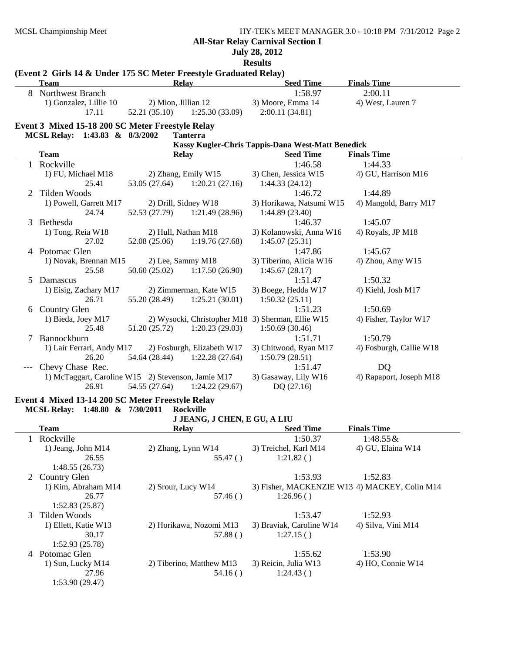# **All-Star Relay Carnival Section I**

**July 28, 2012**

**Results**

|              | (Event 2 Girls 14 & Under 175 SC Meter Freestyle Graduated Relay) |                                      |                               |                                                   |                                               |
|--------------|-------------------------------------------------------------------|--------------------------------------|-------------------------------|---------------------------------------------------|-----------------------------------------------|
|              | <b>Team</b>                                                       | <b>Relay</b>                         |                               | <b>Seed Time</b>                                  | <b>Finals Time</b>                            |
|              | 8 Northwest Branch                                                |                                      |                               | 1:58.97                                           | 2:00.11                                       |
|              | 1) Gonzalez, Lillie 10<br>17.11                                   | 2) Mion, Jillian 12<br>52.21 (35.10) | 1:25.30(33.09)                | 3) Moore, Emma 14<br>2:00.11(34.81)               | 4) West, Lauren 7                             |
|              |                                                                   |                                      |                               |                                                   |                                               |
|              | Event 3 Mixed 15-18 200 SC Meter Freestyle Relay                  |                                      |                               |                                                   |                                               |
|              | MCSL Relay: 1:43.83 & 8/3/2002                                    |                                      | <b>Tanterra</b>               |                                                   |                                               |
|              |                                                                   |                                      |                               | Kassy Kugler-Chris Tappis-Dana West-Matt Benedick |                                               |
|              | <b>Team</b>                                                       | <b>Relay</b>                         |                               | <b>Seed Time</b>                                  | <b>Finals Time</b>                            |
|              | 1 Rockville                                                       |                                      |                               | 1:46.58                                           | 1:44.33                                       |
|              | 1) FU, Michael M18                                                |                                      | 2) Zhang, Emily W15           | 3) Chen, Jessica W15                              | 4) GU, Harrison M16                           |
|              | 25.41                                                             | 53.05 (27.64)                        | 1:20.21(27.16)                | 1:44.33(24.12)                                    |                                               |
| 2            | Tilden Woods                                                      |                                      |                               | 1:46.72                                           | 1:44.89                                       |
|              | 1) Powell, Garrett M17                                            | 2) Drill, Sidney W18                 |                               | 3) Horikawa, Natsumi W15                          | 4) Mangold, Barry M17                         |
|              | 24.74                                                             | 52.53 (27.79)                        | 1:21.49(28.96)                | 1:44.89(23.40)                                    |                                               |
| 3            | Bethesda                                                          |                                      |                               | 1:46.37                                           | 1:45.07                                       |
|              | 1) Tong, Reia W18                                                 | 2) Hull, Nathan M18                  |                               | 3) Kolanowski, Anna W16                           | 4) Royals, JP M18                             |
|              | 27.02                                                             | 52.08 (25.06)                        | 1:19.76(27.68)                | 1:45.07(25.31)                                    |                                               |
| 4            | Potomac Glen                                                      |                                      |                               | 1:47.86                                           | 1:45.67                                       |
|              | 1) Novak, Brennan M15                                             | 2) Lee, Sammy M18                    |                               | 3) Tiberino, Alicia W16                           | 4) Zhou, Amy W15                              |
|              | 25.58                                                             | 50.60 (25.02)                        | 1:17.50(26.90)                | 1:45.67(28.17)                                    |                                               |
| 5            | Damascus                                                          |                                      |                               | 1:51.47                                           | 1:50.32                                       |
|              | 1) Eisig, Zachary M17                                             |                                      | 2) Zimmerman, Kate W15        | 3) Boege, Hedda W17                               | 4) Kiehl, Josh M17                            |
|              | 26.71                                                             | 55.20 (28.49)                        | 1:25.21(30.01)                | 1:50.32(25.11)                                    |                                               |
|              | 6 Country Glen                                                    |                                      |                               | 1:51.23                                           | 1:50.69                                       |
|              | 1) Bieda, Joey M17                                                |                                      |                               | 2) Wysocki, Christopher M18 3) Sherman, Ellie W15 | 4) Fisher, Taylor W17                         |
|              | 25.48                                                             | 51.20 (25.72)                        | 1:20.23(29.03)                | 1:50.69(30.46)                                    |                                               |
| 7            | Bannockburn                                                       |                                      |                               | 1:51.71                                           | 1:50.79                                       |
|              | 1) Lair Ferrari, Andy M17                                         |                                      | 2) Fosburgh, Elizabeth W17    | 3) Chitwood, Ryan M17                             | 4) Fosburgh, Callie W18                       |
|              | 26.20                                                             |                                      | 54.64 (28.44) 1:22.28 (27.64) | 1:50.79(28.51)                                    |                                               |
|              | Chevy Chase Rec.                                                  |                                      |                               | 1:51.47                                           | DQ                                            |
|              | 1) McTaggart, Caroline W15 2) Stevenson, Jamie M17                |                                      |                               | 3) Gasaway, Lily W16                              | 4) Rapaport, Joseph M18                       |
|              | 26.91                                                             | 54.55 (27.64)                        | 1:24.22(29.67)                | DQ (27.16)                                        |                                               |
|              | Event 4 Mixed 13-14 200 SC Meter Freestyle Relay                  |                                      |                               |                                                   |                                               |
|              | MCSL Relay: 1:48.80 & 7/30/2011                                   |                                      | <b>Rockville</b>              |                                                   |                                               |
|              |                                                                   |                                      | J JEANG, J CHEN, E GU, A LIU  |                                                   |                                               |
|              | <b>Team</b>                                                       | <b>Relay</b>                         |                               | <b>Seed Time</b>                                  | <b>Finals Time</b>                            |
| $\mathbf{1}$ | Rockville                                                         |                                      |                               | 1:50.37                                           | $1:48.55 \&$                                  |
|              | 1) Jeang, John M14                                                | 2) Zhang, Lynn W14                   |                               | 3) Treichel, Karl M14                             | 4) GU, Elaina W14                             |
|              | 26.55                                                             |                                      | 55.47()                       | 1:21.82()                                         |                                               |
|              | 1:48.55(26.73)                                                    |                                      |                               |                                                   |                                               |
|              | 2 Country Glen                                                    |                                      |                               | 1:53.93                                           | 1:52.83                                       |
|              | 1) Kim, Abraham M14                                               | 2) Srour, Lucy W14                   |                               |                                                   | 3) Fisher, MACKENZIE W13 4) MACKEY, Colin M14 |
|              | 26.77                                                             |                                      | 57.46()                       | 1:26.96()                                         |                                               |
|              | 1:52.83(25.87)                                                    |                                      |                               |                                                   |                                               |
| 3            | Tilden Woods                                                      |                                      |                               | 1:53.47                                           | 1:52.93                                       |
|              | 1) Ellett, Katie W13                                              |                                      | 2) Horikawa, Nozomi M13       | 3) Braviak, Caroline W14                          | 4) Silva, Vini M14                            |
|              | 30.17                                                             |                                      | 57.88()                       | 1:27.15()                                         |                                               |
|              | 1:52.93(25.78)                                                    |                                      |                               |                                                   |                                               |
|              | 4 Potomac Glen                                                    |                                      |                               | 1.5562                                            | 1.5390                                        |

4 Potomac Glen 1:53.90 1) Sun, Lucky M14 2) Tiberino, Matthew M13 3) Reicin, Julia W13 4) HO, Connie W14 27.96 54.16 ( ) 1:24.43 ( )

# 1:53.90 (29.47)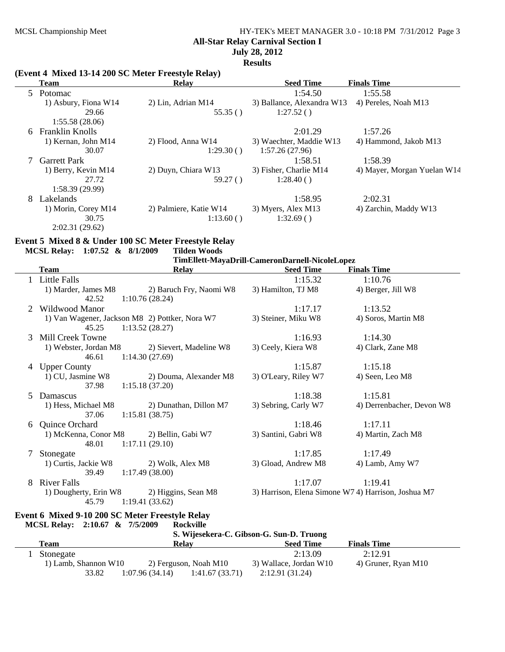# MCSL Championship Meet HY-TEK's MEET MANAGER 3.0 - 10:18 PM 7/31/2012 Page 3 **All-Star Relay Carnival Section I July 28, 2012**

**Results**

## **(Event 4 Mixed 13-14 200 SC Meter Freestyle Relay)**

|    | <b>Team</b>            | <b>Relay</b>           | <b>Seed Time</b>           | <b>Finals Time</b>          |
|----|------------------------|------------------------|----------------------------|-----------------------------|
|    | 5 Potomac              |                        | 1:54.50                    | 1:55.58                     |
|    | 1) Asbury, Fiona W14   | 2) Lin, Adrian M14     | 3) Ballance, Alexandra W13 | 4) Pereles, Noah M13        |
|    | 29.66                  | 55.35()                | 1:27.52()                  |                             |
|    | 1:55.58(28.06)         |                        |                            |                             |
| 6. | <b>Franklin Knolls</b> |                        | 2:01.29                    | 1:57.26                     |
|    | 1) Kernan, John M14    | 2) Flood, Anna W14     | 3) Waechter, Maddie W13    | 4) Hammond, Jakob M13       |
|    | 30.07                  | 1:29.30()              | 1:57.26(27.96)             |                             |
|    | <b>Garrett Park</b>    |                        | 1:58.51                    | 1:58.39                     |
|    | 1) Berry, Kevin M14    | 2) Duyn, Chiara W13    | 3) Fisher, Charlie M14     | 4) Mayer, Morgan Yuelan W14 |
|    | 27.72                  | 59.27()                | 1:28.40()                  |                             |
|    | 1:58.39(29.99)         |                        |                            |                             |
| 8  | Lakelands              |                        | 1:58.95                    | 2:02.31                     |
|    | 1) Morin, Corey M14    | 2) Palmiere, Katie W14 | 3) Myers, Alex M13         | 4) Zarchin, Maddy W13       |
|    | 30.75                  | 1:13.60()              | 1:32.69()                  |                             |
|    | 2:02.31(29.62)         |                        |                            |                             |

# **Event 5 Mixed 8 & Under 100 SC Meter Freestyle Relay**

| MCSL Relay: 1:07.52 & 8/1/2009 |  | <b>Tilden Woods</b>                            |
|--------------------------------|--|------------------------------------------------|
|                                |  | TimEllett-MayaDrill-CameronDarnell-NicoleLopez |

|   | <b>Team</b>                                             | <b>Relay</b>                              | <b>Seed Time</b>     | <b>Finals Time</b>                                  |
|---|---------------------------------------------------------|-------------------------------------------|----------------------|-----------------------------------------------------|
|   | <b>Little Falls</b>                                     |                                           | 1:15.32              | 1:10.76                                             |
|   | 1) Marder, James M8                                     | 2) Baruch Fry, Naomi W8                   | 3) Hamilton, TJ M8   | 4) Berger, Jill W8                                  |
|   | 42.52                                                   | 1:10.76(28.24)                            |                      |                                                     |
|   | Wildwood Manor                                          |                                           | 1:17.17              | 1:13.52                                             |
|   | 1) Van Wagener, Jackson M8 2) Pottker, Nora W7<br>45.25 | 1:13.52(28.27)                            | 3) Steiner, Miku W8  | 4) Soros, Martin M8                                 |
| 3 | Mill Creek Towne                                        |                                           | 1:16.93              | 1:14.30                                             |
|   | 1) Webster, Jordan M8<br>46.61                          | 2) Sievert, Madeline W8<br>1:14.30(27.69) | 3) Ceely, Kiera W8   | 4) Clark, Zane M8                                   |
| 4 | <b>Upper County</b>                                     |                                           | 1:15.87              | 1:15.18                                             |
|   | 1) CU, Jasmine W8<br>37.98                              | 2) Douma, Alexander M8<br>1:15.18(37.20)  | 3) O'Leary, Riley W7 | 4) Seen, Leo M8                                     |
| 5 | Damascus                                                |                                           | 1:18.38              | 1:15.81                                             |
|   | 1) Hess, Michael M8<br>37.06                            | 2) Dunathan, Dillon M7<br>1:15.81(38.75)  | 3) Sebring, Carly W7 | 4) Derrenbacher, Devon W8                           |
| 6 | Quince Orchard                                          |                                           | 1:18.46              | 1:17.11                                             |
|   | 1) McKenna, Conor M8<br>48.01                           | 2) Bellin, Gabi W7<br>1:17.11(29.10)      | 3) Santini, Gabri W8 | 4) Martin, Zach M8                                  |
| 7 | Stonegate                                               |                                           | 1:17.85              | 1:17.49                                             |
|   | 1) Curtis, Jackie W8<br>39.49                           | 2) Wolk, Alex M8<br>1:17.49(38.00)        | 3) Gload, Andrew M8  | 4) Lamb, Amy W7                                     |
| 8 | <b>River Falls</b>                                      |                                           | 1:17.07              | 1:19.41                                             |
|   | 1) Dougherty, Erin W8<br>45.79                          | 2) Higgins, Sean M8<br>1:19.41(33.62)     |                      | 3) Harrison, Elena Simone W7 4) Harrison, Joshua M7 |

#### **Event 6 Mixed 9-10 200 SC Meter Freestyle Relay<br>MCSL Relay: 2:10.67 & 7/5/2009 Rockville MCSL Relay: 2:10.67 & 7/5/2009**

|                        |                                  | S. Wijesekera-C. Gibson-G. Sun-D. Truong |                     |  |
|------------------------|----------------------------------|------------------------------------------|---------------------|--|
| Team                   | Relav                            | <b>Seed Time</b>                         | <b>Finals Time</b>  |  |
| Stonegate              |                                  | 2:13.09                                  | 2:12.91             |  |
| 1) Lamb, Shannon $W10$ | 2) Ferguson, Noah M10            | 3) Wallace, Jordan W10                   | 4) Gruner, Ryan M10 |  |
| 33.82                  | 1:07.96(34.14)<br>1:41.67(33.71) | 2:12.91(31.24)                           |                     |  |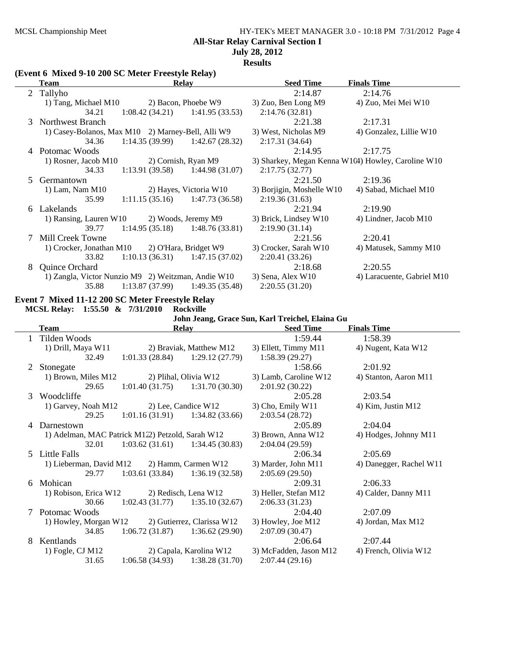# MCSL Championship Meet HY-TEK's MEET MANAGER 3.0 - 10:18 PM 7/31/2012 Page 4

**All-Star Relay Carnival Section I**

## **July 28, 2012**

**Results**

#### **(Event 6 Mixed 9-10 200 SC Meter Freestyle Relay)**

|               | Team                                               | <b>Relay</b>        |                                   | <b>Seed Time</b>          | <b>Finals Time</b>                                 |
|---------------|----------------------------------------------------|---------------------|-----------------------------------|---------------------------|----------------------------------------------------|
|               | 2 Tallyho                                          |                     |                                   | 2:14.87                   | 2:14.76                                            |
|               | 1) Tang, Michael M10                               |                     | 2) Bacon, Phoebe W9               | 3) Zuo, Ben Long M9       | 4) Zuo, Mei Mei W10                                |
|               | 34.21                                              |                     | $1:08.42(34.21)$ $1:41.95(33.53)$ | 2:14.76(32.81)            |                                                    |
| $\mathcal{F}$ | Northwest Branch                                   |                     |                                   | 2:21.38                   | 2:17.31                                            |
|               | 1) Casey-Bolanos, Max M10 2) Marney-Bell, Alli W9  |                     |                                   | 3) West, Nicholas M9      | 4) Gonzalez, Lillie W10                            |
|               | 34.36                                              | 1:14.35(39.99)      | 1:42.67 (28.32)                   | 2:17.31(34.64)            |                                                    |
|               | 4 Potomac Woods                                    |                     |                                   | 2:14.95                   | 2:17.75                                            |
|               | 1) Rosner, Jacob M10                               | 2) Cornish, Ryan M9 |                                   |                           | 3) Sharkey, Megan Kenna W1(4) Howley, Caroline W10 |
|               | 34.33                                              |                     | $1:13.91(39.58)$ $1:44.98(31.07)$ | 2:17.75(32.77)            |                                                    |
| 5             | Germantown                                         |                     |                                   | 2:21.50                   | 2:19.36                                            |
|               | 1) Lam, Nam $M10$                                  |                     | 2) Hayes, Victoria W10            | 3) Borjigin, Moshelle W10 | 4) Sabad, Michael M10                              |
|               | 35.99                                              |                     | $1:11.15(35.16)$ $1:47.73(36.58)$ | 2:19.36(31.63)            |                                                    |
|               | 6 Lakelands                                        |                     |                                   | 2:21.94                   | 2:19.90                                            |
|               | 1) Ransing, Lauren W10                             |                     | 2) Woods, Jeremy M9               | 3) Brick, Lindsey W10     | 4) Lindner, Jacob M10                              |
|               | 39.77                                              |                     | $1:14.95(35.18)$ $1:48.76(33.81)$ | 2:19.90(31.14)            |                                                    |
|               | Mill Creek Towne                                   |                     |                                   | 2:21.56                   | 2:20.41                                            |
|               | 1) Crocker, Jonathan M10 2) O'Hara, Bridget W9     |                     |                                   | 3) Crocker, Sarah W10     | 4) Matusek, Sammy M10                              |
|               | 33.82                                              |                     | $1:10.13(36.31)$ $1:47.15(37.02)$ | 2:20.41(33.26)            |                                                    |
| 8             | Quince Orchard                                     |                     |                                   | 2:18.68                   | 2:20.55                                            |
|               | 1) Zangla, Victor Nunzio M9 2) Weitzman, Andie W10 |                     |                                   | 3) Sena, Alex W10         | 4) Laracuente, Gabriel M10                         |
|               | 35.88                                              |                     | $1:13.87(37.99)$ $1:49.35(35.48)$ | 2:20.55(31.20)            |                                                    |

#### **Event 7 Mixed 11-12 200 SC Meter Freestyle Relay MCSL Relay: 1:55.50 & 7/31/2010 Rockville**

#### **John Jeang, Grace Sun, Karl Treichel, Elaina Gu Team 6. In the Contract Relay 6. In the Seed Time 6. In Finals Time** 1 Tilden Woods 1:58.39 1:59.44 1) Drill, Maya W11 2) Braviak, Matthew M12 3) Ellett, Timmy M11 4) Nugent, Kata W12 32.49 1:01.33 (28.84) 1:29.12 (27.79) 1:58.39 (29.27) 2 Stonegate 2:01.92 1) Brown, Miles M12 2) Plihal, Olivia W12 3) Lamb, Caroline W12 4) Stanton, Aaron M11 29.65 1:01.40 (31.75) 1:31.70 (30.30) 2:01.92 (30.22) 3 Woodcliffe 2:03.54 2:05.28 1) Garvey, Noah M12 2) Lee, Candice W12 3) Cho, Emily W11 4) Kim, Justin M12 29.25 1:01.16 (31.91) 1:34.82 (33.66) 2:03.54 (28.72) 29.25 1:01.16 (31.91) 1:34.82 (33.66) 2:03.54 (28.72) 4 Darnestown 2:05.89 2:04.04<br>
1) Adelman, MAC Patrick M122) Petzold, Sarah W12 3) Brown, Anna W12 4) Hodges, 1) Adelman, MAC Patrick M122) Petzold, Sarah W12 3) Brown, Anna W12 4) Hodges, Johnny M11 32.01 1:03.62 (31.61) 1:34.45 (30.83) 2:04.04 (29.59) 5 Little Falls 2:05.69 2:06.34 1) Lieberman, David M12 2) Hamm, Carmen W12 3) Marder, John M11 4) Danegger, Rachel W11 29.77 1:03.61 (33.84) 1:36.19 (32.58) 2:05.69 (29.50) 6 Mohican 2:09.31 2:06.33 1) Robison, Erica W12 2) Redisch, Lena W12 3) Heller, Stefan M12 4) Calder, Danny M11 30.66 1:02.43 (31.77) 1:35.10 (32.67) 2:06.33 (31.23) 7 Potomac Woods 2:07.09 2:04.40 1) Howley, Morgan W12 2) Gutierrez, Clarissa W12 3) Howley, Joe M12 4) Jordan, Max M12 34.85 1:06.72 (31.87) 1:36.62 (29.90) 2:07.09 (30.47) 34.85 1:06.72 (31.87) 1:36.62 (29.90) 2:07.09 (30.47) 8 Kentlands 2:06.64 2:07.44 1) Fogle, CJ M12 2) Capala, Karolina W12 3) McFadden, Jason M12 4) French, Olivia W12 31.65 1:06.58 (34.93) 1:38.28 (31.70) 2:07.44 (29.16)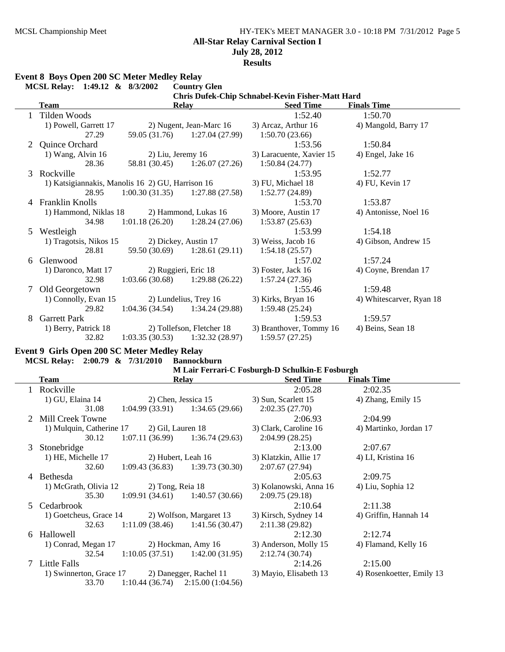# MCSL Championship Meet HY-TEK's MEET MANAGER 3.0 - 10:18 PM 7/31/2012 Page 5 **All-Star Relay Carnival Section I July 28, 2012**

**Results**

#### **Event 8 Boys Open 200 SC Meter Medley Relay**

|   | MCSL Relay: 1:49.12 & 8/3/2002                   |                      | <b>Country Glen</b>               |                                                  |                          |
|---|--------------------------------------------------|----------------------|-----------------------------------|--------------------------------------------------|--------------------------|
|   |                                                  |                      |                                   | Chris Dufek-Chip Schnabel-Kevin Fisher-Matt Hard |                          |
|   | <b>Team</b>                                      |                      | <b>Relay</b>                      | <b>Seed Time</b>                                 | <b>Finals Time</b>       |
|   | Tilden Woods                                     |                      |                                   | 1:52.40                                          | 1:50.70                  |
|   | 1) Powell, Garrett 17                            |                      | 2) Nugent, Jean-Marc 16           | 3) Arcaz, Arthur 16                              | 4) Mangold, Barry 17     |
|   | 27.29                                            | 59.05 (31.76)        | 1:27.04(27.99)                    | 1:50.70(23.66)                                   |                          |
|   | Quince Orchard                                   |                      |                                   | 1:53.56                                          | 1:50.84                  |
|   | 1) Wang, Alvin 16                                | $2)$ Liu, Jeremy 16  |                                   | 3) Laracuente, Xavier 15                         | 4) Engel, Jake 16        |
|   | 28.36                                            |                      | 58.81 (30.45) 1:26.07 (27.26)     | 1:50.84(24.77)                                   |                          |
| 3 | Rockville                                        |                      |                                   | 1:53.95                                          | 1:52.77                  |
|   | 1) Katsigiannakis, Manolis 16 2) GU, Harrison 16 |                      |                                   | 3) FU, Michael 18                                | 4) FU, Kevin 17          |
|   | 28.95                                            |                      | $1:00.30(31.35)$ $1:27.88(27.58)$ | 1:52.77(24.89)                                   |                          |
|   | 4 Franklin Knolls                                |                      |                                   | 1:53.70                                          | 1:53.87                  |
|   | 1) Hammond, Niklas 18                            |                      | 2) Hammond, Lukas 16              | 3) Moore, Austin 17                              | 4) Antonisse, Noel 16    |
|   | 34.98                                            |                      | $1:01.18(26.20)$ $1:28.24(27.06)$ | 1:53.87(25.63)                                   |                          |
| 5 | Westleigh                                        |                      |                                   | 1:53.99                                          | 1:54.18                  |
|   | 1) Tragotsis, Nikos 15                           |                      | 2) Dickey, Austin 17              | 3) Weiss, Jacob 16                               | 4) Gibson, Andrew 15     |
|   | 28.81                                            | 59.50 (30.69)        | 1:28.61(29.11)                    | 1:54.18(25.57)                                   |                          |
| 6 | Glenwood                                         |                      |                                   | 1:57.02                                          | 1:57.24                  |
|   | 1) Daronco, Matt 17                              | 2) Ruggieri, Eric 18 |                                   | 3) Foster, Jack 16                               | 4) Coyne, Brendan 17     |
|   | 32.98                                            | 1:03.66(30.68)       | 1:29.88(26.22)                    | 1:57.24(27.36)                                   |                          |
| 7 | Old Georgetown                                   |                      |                                   | 1:55.46                                          | 1:59.48                  |
|   | 1) Connolly, Evan 15                             |                      | 2) Lundelius, Trey 16             | 3) Kirks, Bryan 16                               | 4) Whitescarver, Ryan 18 |
|   | 29.82                                            |                      | $1:04.36(34.54)$ $1:34.24(29.88)$ | 1:59.48(25.24)                                   |                          |
| 8 | <b>Garrett Park</b>                              |                      |                                   | 1:59.53                                          | 1:59.57                  |
|   | 1) Berry, Patrick 18                             |                      | 2) Tollefson, Fletcher 18         | 3) Branthover, Tommy 16                          | 4) Beins, Sean 18        |
|   | 32.82                                            | 1:03.35(30.53)       | 1:32.32(28.97)                    | 1:59.57(27.25)                                   |                          |

# **Event 9 Girls Open 200 SC Meter Medley Relay**

#### **MCSL Relay: 2:00.79 & 7/31/2010 Bannockburn**

|    | Team                                           | <b>Relay</b>                                   | <b>Seed Time</b>       | <b>Finals Time</b>        |
|----|------------------------------------------------|------------------------------------------------|------------------------|---------------------------|
|    | Rockville                                      |                                                | 2:05.28                | 2:02.35                   |
|    | 1) GU, Elaina 14                               | 2) Chen, Jessica 15                            | 3) Sun, Scarlett 15    | 4) Zhang, Emily 15        |
|    | 31.08                                          | $1:04.99(33.91)$ $1:34.65(29.66)$              | 2:02.35(27.70)         |                           |
|    | Mill Creek Towne                               |                                                | 2:06.93                | 2:04.99                   |
|    | 1) Mulquin, Catherine 17 2) Gil, Lauren 18     |                                                | 3) Clark, Caroline 16  | 4) Martinko, Jordan 17    |
|    | 30.12                                          | $1:07.11(36.99)$ $1:36.74(29.63)$              | 2:04.99(28.25)         |                           |
| 3  | Stonebridge                                    |                                                | 2:13.00                | 2:07.67                   |
|    | 1) HE, Michelle 17                             | 2) Hubert, Leah 16                             | 3) Klatzkin, Allie 17  | 4) LI, Kristina 16        |
|    | 32.60                                          | $1:09.43(36.83)$ $1:39.73(30.30)$              | 2:07.67(27.94)         |                           |
| 4  | Bethesda                                       |                                                | 2:05.63                | 2:09.75                   |
|    |                                                | 1) McGrath, Olivia 12 2) Tong, Reia 18         | 3) Kolanowski, Anna 16 | 4) Liu, Sophia 12         |
|    | 35.30                                          | $1:09.91(34.61)$ $1:40.57(30.66)$              | 2:09.75(29.18)         |                           |
| .5 | Cedarbrook                                     |                                                | 2:10.64                | 2:11.38                   |
|    |                                                | 1) Goetcheus, Grace 14 2) Wolfson, Margaret 13 | 3) Kirsch, Sydney 14   | 4) Griffin, Hannah 14     |
|    | 32.63                                          | $1:11.09(38.46)$ $1:41.56(30.47)$              | 2:11.38(29.82)         |                           |
| 6  | Hallowell                                      |                                                | 2:12.30                | 2:12.74                   |
|    | 1) Conrad, Megan 17                            | 2) Hockman, Amy 16                             | 3) Anderson, Molly 15  | 4) Flamand, Kelly 16      |
|    | 32.54                                          | $1:10.05(37.51)$ $1:42.00(31.95)$              | 2:12.74(30.74)         |                           |
|    | 7 Little Falls                                 |                                                | 2:14.26                | 2:15.00                   |
|    | 1) Swinnerton, Grace 17 2) Danegger, Rachel 11 |                                                | 3) Mayio, Elisabeth 13 | 4) Rosenkoetter, Emily 13 |
|    | 33.70                                          | $1:10.44(36.74)$ $2:15.00(1:04.56)$            |                        |                           |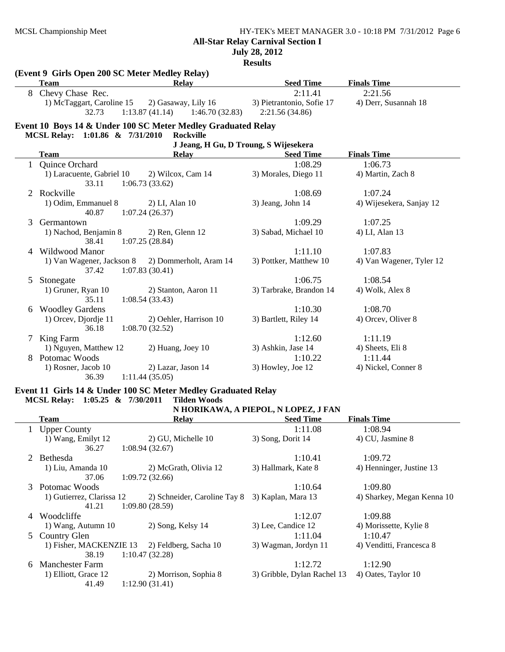## MCSL Championship Meet HY-TEK's MEET MANAGER 3.0 - 10:18 PM 7/31/2012 Page 6 **All-Star Relay Carnival Section I July 28, 2012**

**Results**

| <b>Team</b>               | <b>Relay</b>                                                                                                                                                                                                                                                     | <b>Seed Time</b>                                                                                                                                                                                                                                                                                                                                                                                                              | <b>Finals Time</b>                                                                                                                                                                                                                                                                                                                         |
|---------------------------|------------------------------------------------------------------------------------------------------------------------------------------------------------------------------------------------------------------------------------------------------------------|-------------------------------------------------------------------------------------------------------------------------------------------------------------------------------------------------------------------------------------------------------------------------------------------------------------------------------------------------------------------------------------------------------------------------------|--------------------------------------------------------------------------------------------------------------------------------------------------------------------------------------------------------------------------------------------------------------------------------------------------------------------------------------------|
| Chevy Chase Rec.          |                                                                                                                                                                                                                                                                  | 2:11.41                                                                                                                                                                                                                                                                                                                                                                                                                       | 2:21.56                                                                                                                                                                                                                                                                                                                                    |
| 1) McTaggart, Caroline 15 | 2) Gasaway, Lily 16                                                                                                                                                                                                                                              | 3) Pietrantonio, Sofie 17                                                                                                                                                                                                                                                                                                                                                                                                     | 4) Derr, Susannah 18                                                                                                                                                                                                                                                                                                                       |
| 32.73                     |                                                                                                                                                                                                                                                                  | 2:21.56 (34.86)                                                                                                                                                                                                                                                                                                                                                                                                               |                                                                                                                                                                                                                                                                                                                                            |
|                           |                                                                                                                                                                                                                                                                  |                                                                                                                                                                                                                                                                                                                                                                                                                               |                                                                                                                                                                                                                                                                                                                                            |
|                           |                                                                                                                                                                                                                                                                  |                                                                                                                                                                                                                                                                                                                                                                                                                               |                                                                                                                                                                                                                                                                                                                                            |
|                           |                                                                                                                                                                                                                                                                  |                                                                                                                                                                                                                                                                                                                                                                                                                               |                                                                                                                                                                                                                                                                                                                                            |
| <b>Team</b>               | <b>Relay</b>                                                                                                                                                                                                                                                     | <b>Seed Time</b>                                                                                                                                                                                                                                                                                                                                                                                                              | <b>Finals Time</b>                                                                                                                                                                                                                                                                                                                         |
| Quince Orchard            |                                                                                                                                                                                                                                                                  | 1:08.29                                                                                                                                                                                                                                                                                                                                                                                                                       | 1:06.73                                                                                                                                                                                                                                                                                                                                    |
| 1) Laracuente, Gabriel 10 | 2) Wilcox, Cam 14                                                                                                                                                                                                                                                | 3) Morales, Diego 11                                                                                                                                                                                                                                                                                                                                                                                                          | 4) Martin, Zach 8                                                                                                                                                                                                                                                                                                                          |
| 33.11                     |                                                                                                                                                                                                                                                                  |                                                                                                                                                                                                                                                                                                                                                                                                                               |                                                                                                                                                                                                                                                                                                                                            |
| Rockville                 |                                                                                                                                                                                                                                                                  | 1:08.69                                                                                                                                                                                                                                                                                                                                                                                                                       | 1:07.24                                                                                                                                                                                                                                                                                                                                    |
| 1) Odim, Emmanuel 8       | 2) LI, Alan 10                                                                                                                                                                                                                                                   | 3) Jeang, John 14                                                                                                                                                                                                                                                                                                                                                                                                             | 4) Wijesekera, Sanjay 12                                                                                                                                                                                                                                                                                                                   |
|                           |                                                                                                                                                                                                                                                                  |                                                                                                                                                                                                                                                                                                                                                                                                                               |                                                                                                                                                                                                                                                                                                                                            |
| Germantown                |                                                                                                                                                                                                                                                                  |                                                                                                                                                                                                                                                                                                                                                                                                                               | 1:07.25                                                                                                                                                                                                                                                                                                                                    |
|                           |                                                                                                                                                                                                                                                                  |                                                                                                                                                                                                                                                                                                                                                                                                                               | 4) LI, Alan 13                                                                                                                                                                                                                                                                                                                             |
|                           |                                                                                                                                                                                                                                                                  |                                                                                                                                                                                                                                                                                                                                                                                                                               |                                                                                                                                                                                                                                                                                                                                            |
|                           |                                                                                                                                                                                                                                                                  |                                                                                                                                                                                                                                                                                                                                                                                                                               | 1:07.83                                                                                                                                                                                                                                                                                                                                    |
|                           |                                                                                                                                                                                                                                                                  |                                                                                                                                                                                                                                                                                                                                                                                                                               | 4) Van Wagener, Tyler 12                                                                                                                                                                                                                                                                                                                   |
|                           |                                                                                                                                                                                                                                                                  |                                                                                                                                                                                                                                                                                                                                                                                                                               |                                                                                                                                                                                                                                                                                                                                            |
|                           |                                                                                                                                                                                                                                                                  |                                                                                                                                                                                                                                                                                                                                                                                                                               | 1:08.54                                                                                                                                                                                                                                                                                                                                    |
|                           |                                                                                                                                                                                                                                                                  |                                                                                                                                                                                                                                                                                                                                                                                                                               | 4) Wolk, Alex 8                                                                                                                                                                                                                                                                                                                            |
|                           |                                                                                                                                                                                                                                                                  |                                                                                                                                                                                                                                                                                                                                                                                                                               |                                                                                                                                                                                                                                                                                                                                            |
|                           |                                                                                                                                                                                                                                                                  |                                                                                                                                                                                                                                                                                                                                                                                                                               | 1:08.70                                                                                                                                                                                                                                                                                                                                    |
|                           |                                                                                                                                                                                                                                                                  |                                                                                                                                                                                                                                                                                                                                                                                                                               | 4) Orcev, Oliver 8                                                                                                                                                                                                                                                                                                                         |
|                           |                                                                                                                                                                                                                                                                  |                                                                                                                                                                                                                                                                                                                                                                                                                               | 1:11.19                                                                                                                                                                                                                                                                                                                                    |
|                           |                                                                                                                                                                                                                                                                  |                                                                                                                                                                                                                                                                                                                                                                                                                               | 4) Sheets, Eli 8                                                                                                                                                                                                                                                                                                                           |
|                           |                                                                                                                                                                                                                                                                  |                                                                                                                                                                                                                                                                                                                                                                                                                               | 1:11.44                                                                                                                                                                                                                                                                                                                                    |
|                           |                                                                                                                                                                                                                                                                  |                                                                                                                                                                                                                                                                                                                                                                                                                               | 4) Nickel, Conner 8                                                                                                                                                                                                                                                                                                                        |
|                           |                                                                                                                                                                                                                                                                  |                                                                                                                                                                                                                                                                                                                                                                                                                               |                                                                                                                                                                                                                                                                                                                                            |
|                           | 40.87<br>1) Nachod, Benjamin 8<br>38.41<br>Wildwood Manor<br>37.42<br>Stonegate<br>1) Gruner, Ryan 10<br>35.11<br><b>Woodley Gardens</b><br>1) Orcev, Djordje 11<br>36.18<br>King Farm<br>1) Nguyen, Matthew 12<br>Potomac Woods<br>1) Rosner, Jacob 10<br>36.39 | (Event 9 Girls Open 200 SC Meter Medley Relay)<br>1:13.87(41.14)<br>MCSL Relay: 1:01.86 & 7/31/2010<br><b>Rockville</b><br>1:06.73(33.62)<br>1:07.24(26.37)<br>2) Ren, Glenn 12<br>1:07.25(28.84)<br>1) Van Wagener, Jackson 8<br>2) Dommerholt, Aram 14<br>1:07.83(30.41)<br>2) Stanton, Aaron 11<br>1:08.54(33.43)<br>2) Oehler, Harrison 10<br>1:08.70(32.52)<br>2) Huang, Joey 10<br>2) Lazar, Jason 14<br>1:11.44(35.05) | 1:46.70(32.83)<br>Event 10 Boys 14 & Under 100 SC Meter Medley Graduated Relay<br>J Jeang, H Gu, D Troung, S Wijesekera<br>1:09.29<br>3) Sabad, Michael 10<br>1:11.10<br>3) Pottker, Matthew 10<br>1:06.75<br>3) Tarbrake, Brandon 14<br>1:10.30<br>3) Bartlett, Riley 14<br>1:12.60<br>3) Ashkin, Jase 14<br>1:10.22<br>3) Howley, Joe 12 |

#### **Event 11 Girls 14 & Under 100 SC Meter Medley Graduated Relay MCSL Relay: 1:05.25 & 7/30/2011 Tilden Woods**

# **N HORIKAWA, A PIEPOL, N LOPEZ, J FAN**

|   | Team                      | <b>Relay</b>                                    | <b>Seed Time</b>            | <b>Finals Time</b>         |
|---|---------------------------|-------------------------------------------------|-----------------------------|----------------------------|
|   | 1 Upper County            |                                                 | 1:11.08                     | 1:08.94                    |
|   | 1) Wang, Emilyt 12        | 2) GU, Michelle 10                              | 3) Song, Dorit 14           | 4) CU, Jasmine 8           |
|   | 36.27                     | 1:08.94(32.67)                                  |                             |                            |
| 2 | <b>Bethesda</b>           |                                                 | 1:10.41                     | 1:09.72                    |
|   | 1) Liu, Amanda 10         | 2) McGrath, Olivia 12                           | 3) Hallmark, Kate 8         | 4) Henninger, Justine 13   |
|   | 37.06                     | 1:09.72(32.66)                                  |                             |                            |
|   | 3 Potomac Woods           |                                                 | 1:10.64                     | 1:09.80                    |
|   | 1) Gutierrez, Clarissa 12 | 2) Schneider, Caroline Tay 8 3) Kaplan, Mara 13 |                             | 4) Sharkey, Megan Kenna 10 |
|   | 41.21                     | 1:09.80(28.59)                                  |                             |                            |
|   | 4 Woodcliffe              |                                                 | 1:12.07                     | 1:09.88                    |
|   | 1) Wang, Autumn 10        | 2) Song, Kelsy 14                               | 3) Lee, Candice 12          | 4) Morissette, Kylie 8     |
| 5 | Country Glen              |                                                 | 1:11.04                     | 1:10.47                    |
|   |                           | 1) Fisher, MACKENZIE 13 2) Feldberg, Sacha 10   | 3) Wagman, Jordyn 11        | 4) Venditti, Francesca 8   |
|   | 38.19                     | 1:10.47(32.28)                                  |                             |                            |
| 6 | <b>Manchester Farm</b>    |                                                 | 1:12.72                     | 1:12.90                    |
|   | 1) Elliott, Grace 12      | 2) Morrison, Sophia 8                           | 3) Gribble, Dylan Rachel 13 | 4) Oates, Taylor 10        |
|   | 41.49                     | 1:12.90(31.41)                                  |                             |                            |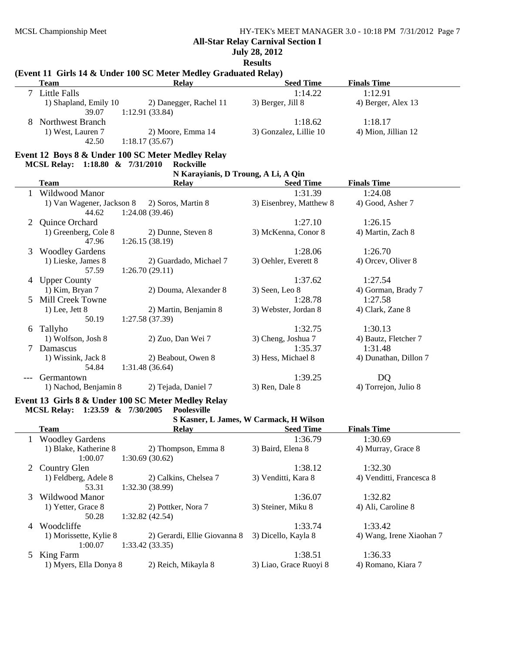#### **All-Star Relay Carnival Section I**

**July 28, 2012**

**Results**

## **(Event 11 Girls 14 & Under 100 SC Meter Medley Graduated Relay)**

| <b>Team</b>           | <b>Relay</b>           | <b>Seed Time</b>       | <b>Finals Time</b>  |  |
|-----------------------|------------------------|------------------------|---------------------|--|
| Little Falls          |                        | 1:14.22                | 1:12.91             |  |
| 1) Shapland, Emily 10 | 2) Danegger, Rachel 11 | 3) Berger, Jill 8      | 4) Berger, Alex 13  |  |
| 39.07                 | 1:12.91(33.84)         |                        |                     |  |
| Northwest Branch      |                        | 1:18.62                | 1:18.17             |  |
| 1) West, Lauren 7     | 2) Moore, Emma 14      | 3) Gonzalez, Lillie 10 | 4) Mion, Jillian 12 |  |
| 42.50                 | 1:18.17(35.67)         |                        |                     |  |

## **Event 12 Boys 8 & Under 100 SC Meter Medley Relay**

**MCSL Relay: 1:18.80 & 7/31/2010 Rockville**

# **N Karayianis, D Troung, A Li, A Qin**

|   | <b>Team</b>               | <b>Relay</b>           | <b>Seed Time</b>        | <b>Finals Time</b>    |
|---|---------------------------|------------------------|-------------------------|-----------------------|
|   | Wildwood Manor            |                        | 1:31.39                 | 1:24.08               |
|   | 1) Van Wagener, Jackson 8 | 2) Soros, Martin 8     | 3) Eisenbrey, Matthew 8 | 4) Good, Asher 7      |
|   | 44.62                     | 1:24.08(39.46)         |                         |                       |
| 2 | Quince Orchard            |                        | 1:27.10                 | 1:26.15               |
|   | 1) Greenberg, Cole 8      | 2) Dunne, Steven 8     | 3) McKenna, Conor 8     | 4) Martin, Zach 8     |
|   | 47.96                     | 1:26.15(38.19)         |                         |                       |
| 3 | <b>Woodley Gardens</b>    |                        | 1:28.06                 | 1:26.70               |
|   | 1) Lieske, James 8        | 2) Guardado, Michael 7 | 3) Oehler, Everett 8    | 4) Orcey, Oliver 8    |
|   | 57.59                     | 1:26.70(29.11)         |                         |                       |
| 4 | <b>Upper County</b>       |                        | 1:37.62                 | 1:27.54               |
|   | 1) Kim, Bryan 7           | 2) Douma, Alexander 8  | $3)$ Seen, Leo $8$      | 4) Gorman, Brady 7    |
| 5 | Mill Creek Towne          |                        | 1:28.78                 | 1:27.58               |
|   | $1)$ Lee, Jett 8          | 2) Martin, Benjamin 8  | 3) Webster, Jordan 8    | 4) Clark, Zane 8      |
|   | 50.19                     | 1:27.58(37.39)         |                         |                       |
| 6 | Tallyho                   |                        | 1:32.75                 | 1:30.13               |
|   | 1) Wolfson, Josh 8        | 2) Zuo, Dan Wei 7      | 3) Cheng, Joshua 7      | 4) Bautz, Fletcher 7  |
| 7 | Damascus                  |                        | 1:35.37                 | 1:31.48               |
|   | 1) Wissink, Jack 8        | 2) Beabout, Owen 8     | 3) Hess, Michael 8      | 4) Dunathan, Dillon 7 |
|   | 54.84                     | 1:31.48(36.64)         |                         |                       |
|   | Germantown                |                        | 1:39.25                 | DQ                    |
|   | 1) Nachod, Benjamin 8     | 2) Tejada, Daniel 7    | 3) Ren, Dale 8          | 4) Torrejon, Julio 8  |

# **Event 13 Girls 8 & Under 100 SC Meter Medley Relay MCSL Relay: 1:23.59 & 7/30/2005 Poolesville**

| S Kasner, L James, W Carmack, H Wilson |                        |                              |                        |                          |  |
|----------------------------------------|------------------------|------------------------------|------------------------|--------------------------|--|
|                                        | <b>Team</b>            | <b>Relay</b>                 | <b>Seed Time</b>       | <b>Finals Time</b>       |  |
|                                        | <b>Woodley Gardens</b> |                              | 1:36.79                | 1:30.69                  |  |
|                                        | 1) Blake, Katherine 8  | 2) Thompson, Emma 8          | 3) Baird, Elena 8      | 4) Murray, Grace 8       |  |
|                                        | 1:00.07                | 1:30.69(30.62)               |                        |                          |  |
|                                        | 2 Country Glen         |                              | 1:38.12                | 1:32.30                  |  |
|                                        | 1) Feldberg, Adele 8   | 2) Calkins, Chelsea 7        | 3) Venditti, Kara 8    | 4) Venditti, Francesca 8 |  |
|                                        | 53.31                  | 1:32.30(38.99)               |                        |                          |  |
| 3                                      | Wildwood Manor         |                              | 1:36.07                | 1:32.82                  |  |
|                                        | 1) Yetter, Grace 8     | 2) Pottker, Nora 7           | 3) Steiner, Miku 8     | 4) Ali, Caroline 8       |  |
|                                        | 50.28                  | 1:32.82(42.54)               |                        |                          |  |
| 4                                      | Woodcliffe             |                              | 1:33.74                | 1:33.42                  |  |
|                                        | 1) Morissette, Kylie 8 | 2) Gerardi, Ellie Giovanna 8 | 3) Dicello, Kayla 8    | 4) Wang, Irene Xiaohan 7 |  |
|                                        | 1:00.07                | 1:33.42(33.35)               |                        |                          |  |
|                                        | 5 King Farm            |                              | 1:38.51                | 1:36.33                  |  |
|                                        | 1) Myers, Ella Donya 8 | 2) Reich, Mikayla 8          | 3) Liao, Grace Ruoyi 8 | 4) Romano, Kiara 7       |  |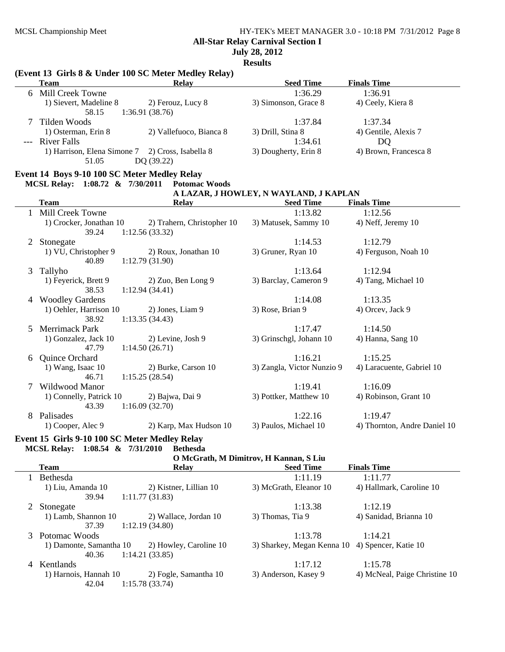# MCSL Championship Meet HY-TEK's MEET MANAGER 3.0 - 10:18 PM 7/31/2012 Page 8

**All-Star Relay Carnival Section I**

**July 28, 2012**

**Results**

|   |                                              | (Event 13 Girls 8 & Under 100 SC Meter Medley Relay)             |                                        |                              |
|---|----------------------------------------------|------------------------------------------------------------------|----------------------------------------|------------------------------|
|   | <b>Team</b>                                  | <b>Relay</b>                                                     | <b>Seed Time</b>                       | <b>Finals Time</b>           |
|   | 6 Mill Creek Towne                           |                                                                  | 1:36.29                                | 1:36.91                      |
|   | 1) Sievert, Madeline 8<br>58.15              | 2) Ferouz, Lucy 8<br>1:36.91(38.76)                              | 3) Simonson, Grace 8                   | 4) Ceely, Kiera 8            |
| 7 | Tilden Woods                                 |                                                                  | 1:37.84                                | 1:37.34                      |
|   | 1) Osterman, Erin 8                          | 2) Vallefuoco, Bianca 8                                          | 3) Drill, Stina 8                      | 4) Gentile, Alexis 7         |
|   | --- River Falls                              |                                                                  | 1:34.61                                | DQ                           |
|   |                                              | 1) Harrison, Elena Simone 7 2) Cross, Isabella 8                 | 3) Dougherty, Erin 8                   | 4) Brown, Francesca 8        |
|   | 51.05                                        | DQ (39.22)                                                       |                                        |                              |
|   | Event 14 Boys 9-10 100 SC Meter Medley Relay |                                                                  |                                        |                              |
|   | MCSL Relay: 1:08.72 & 7/30/2011              | <b>Potomac Woods</b>                                             |                                        |                              |
|   |                                              |                                                                  | A LAZAR, J HOWLEY, N WAYLAND, J KAPLAN |                              |
|   | <b>Team</b>                                  | <b>Relay</b>                                                     | <b>Seed Time</b>                       | <b>Finals Time</b>           |
|   | 1 Mill Creek Towne                           |                                                                  | 1:13.82                                | 1:12.56                      |
|   | 1) Crocker, Jonathan 10<br>39.24             | 2) Trahern, Christopher 10<br>1:12.56(33.32)                     | 3) Matusek, Sammy 10                   | 4) Neff, Jeremy 10           |
| 2 | Stonegate                                    |                                                                  | 1:14.53                                | 1:12.79                      |
|   | 1) VU, Christopher 9<br>40.89                | 2) Roux, Jonathan 10<br>1:12.79(31.90)                           | 3) Gruner, Ryan 10                     | 4) Ferguson, Noah 10         |
| 3 | Tallyho                                      |                                                                  | 1:13.64                                | 1:12.94                      |
|   | 1) Feyerick, Brett 9<br>38.53                | 2) Zuo, Ben Long 9<br>1:12.94(34.41)                             | 3) Barclay, Cameron 9                  | 4) Tang, Michael 10          |
| 4 | <b>Woodley Gardens</b>                       |                                                                  | 1:14.08                                | 1:13.35                      |
|   | 1) Oehler, Harrison 10<br>38.92              | 2) Jones, Liam 9<br>1:13.35(34.43)                               | 3) Rose, Brian 9                       | 4) Orcev, Jack 9             |
| 5 | <b>Merrimack Park</b>                        |                                                                  | 1:17.47                                | 1:14.50                      |
|   | 1) Gonzalez, Jack 10                         | 2) Levine, Josh 9                                                | 3) Grinschgl, Johann 10                | 4) Hanna, Sang 10            |
|   | 47.79                                        | 1:14.50(26.71)                                                   |                                        |                              |
| 6 | Quince Orchard                               |                                                                  | 1:16.21                                | 1:15.25                      |
|   | 1) Wang, Isaac 10<br>46.71                   | 2) Burke, Carson 10<br>1:15.25(28.54)                            | 3) Zangla, Victor Nunzio 9             | 4) Laracuente, Gabriel 10    |
| 7 | Wildwood Manor                               |                                                                  | 1:19.41                                | 1:16.09                      |
|   | 1) Connelly, Patrick 10<br>43.39             | 2) Bajwa, Dai 9<br>1:16.09(32.70)                                | 3) Pottker, Matthew 10                 | 4) Robinson, Grant 10        |
| 8 | Palisades                                    |                                                                  | 1:22.16                                | 1:19.47                      |
|   | 1) Cooper, Alec 9                            | 2) Karp, Max Hudson 10                                           | 3) Paulos, Michael 10                  | 4) Thornton, Andre Daniel 10 |
|   | MCSL Relay: 1:08.54 & 7/31/2010              | Event 15 Girls 9-10 100 SC Meter Medley Relay<br><b>Bethesda</b> |                                        |                              |
|   |                                              |                                                                  | O McGrath, M Dimitrov, H Kannan, S Liu |                              |
|   | <b>Team</b>                                  | <b>Relay</b>                                                     | <b>Seed Time</b>                       | <b>Finals Time</b>           |
| 1 | Bethesda                                     |                                                                  | 1:11.19                                | 1:11.77                      |
|   | 1) Liu, Amanda 10                            | 2) Kistner, Lillian 10                                           | 3) McGrath, Eleanor 10                 | 4) Hallmark, Caroline 10     |
|   | 39.94                                        | 1:11.77(31.83)                                                   |                                        |                              |
| 2 | Stonegate                                    |                                                                  | 1:13.38                                | 1:12.19                      |
|   | 1) Lamb, Shannon 10                          | 2) Wallace, Jordan 10                                            | 3) Thomas, Tia 9                       | 4) Sanidad, Brianna 10       |
|   | 37.39                                        | 1:12.19(34.80)                                                   |                                        |                              |

3 Potomac Woods 1:14.21 1:13.78 1) Damonte, Samantha 10 2) Howley, Caroline 10 3) Sharkey, Megan Kenna 10 4) Spencer, Katie 10 40.36 1:14.21 (33.85)

4 Kentlands<br>1:15.78 1:17.12 1:15.78<br>1) Harnois, Hannah 10 2) Fogle, Samantha 10 3) Anderson, Kasey 9 4) McNeal, Hannah 10 2) Fogle, Samantha 10 3) Anderson, Kasey 9 4) McNeal, Paige Christine 10 42.04 1:15.78 (33.74) 42.04 1:15.78 (33.74)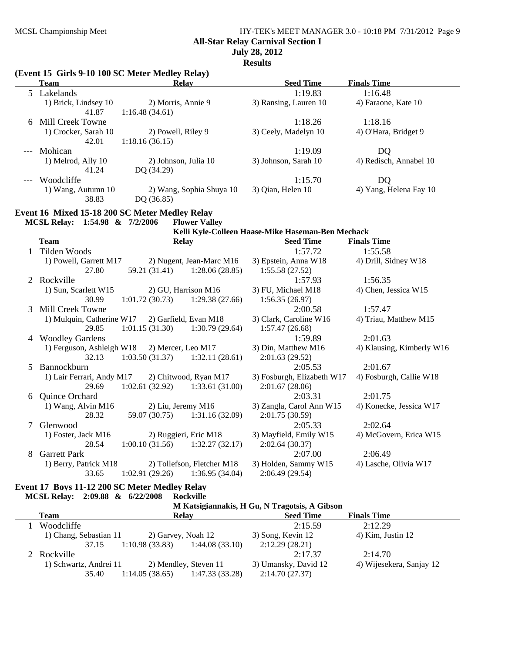$\overline{\phantom{0}}$ 

# MCSL Championship Meet HY-TEK's MEET MANAGER 3.0 - 10:18 PM 7/31/2012 Page 9 **All-Star Relay Carnival Section I**

# **July 28, 2012**

**Results**

|   | (Event 15 Girls 9-10 100 SC Meter Medley Relay) |                                      |                                              | Results                                                               |                                |
|---|-------------------------------------------------|--------------------------------------|----------------------------------------------|-----------------------------------------------------------------------|--------------------------------|
|   | <b>Team</b>                                     | <b>Relay</b>                         |                                              | <b>Seed Time</b>                                                      | <b>Finals Time</b>             |
|   | 5 Lakelands<br>1) Brick, Lindsey 10             | 2) Morris, Annie 9                   |                                              | 1:19.83<br>3) Ransing, Lauren 10                                      | 1:16.48<br>4) Faraone, Kate 10 |
|   | 41.87                                           | 1:16.48(34.61)                       |                                              |                                                                       |                                |
| 6 | Mill Creek Towne                                |                                      |                                              | 1:18.26                                                               | 1:18.16                        |
|   | 1) Crocker, Sarah 10<br>42.01                   | 2) Powell, Riley 9<br>1:18.16(36.15) |                                              | 3) Ceely, Madelyn 10                                                  | 4) O'Hara, Bridget 9           |
|   | Mohican                                         |                                      |                                              | 1:19.09                                                               | DQ                             |
|   | 1) Melrod, Ally 10<br>41.24                     | 2) Johnson, Julia 10<br>DQ (34.29)   |                                              | 3) Johnson, Sarah 10                                                  | 4) Redisch, Annabel 10         |
|   | Woodcliffe                                      |                                      |                                              | 1:15.70                                                               | DQ                             |
|   | 1) Wang, Autumn 10<br>38.83                     | DQ (36.85)                           | 2) Wang, Sophia Shuya 10                     | 3) Qian, Helen 10                                                     | 4) Yang, Helena Fay 10         |
|   | Event 16 Mixed 15-18 200 SC Meter Medley Relay  |                                      |                                              |                                                                       |                                |
|   | MCSL Relay: 1:54.98 & 7/2/2006                  |                                      | <b>Flower Valley</b>                         |                                                                       |                                |
|   | <b>Team</b>                                     |                                      |                                              | Kelli Kyle-Colleen Haase-Mike Haseman-Ben Mechack<br><b>Seed Time</b> | <b>Finals Time</b>             |
| 1 | Tilden Woods                                    | <b>Relay</b>                         |                                              | 1:57.72                                                               | 1:55.58                        |
|   | 1) Powell, Garrett M17                          |                                      | 2) Nugent, Jean-Marc M16                     | 3) Epstein, Anna W18                                                  | 4) Drill, Sidney W18           |
|   | 27.80                                           | 59.21 (31.41)                        | 1:28.06(28.85)                               | 1:55.58(27.52)                                                        |                                |
|   | 2 Rockville                                     |                                      |                                              | 1:57.93                                                               | 1:56.35                        |
|   | 1) Sun, Scarlett W15                            | 2) GU, Harrison M16                  |                                              | 3) FU, Michael M18                                                    | 4) Chen, Jessica W15           |
|   | 30.99                                           | 1:01.72(30.73)                       | 1:29.38(27.66)                               | 1:56.35(26.97)                                                        |                                |
| 3 | Mill Creek Towne                                |                                      |                                              | 2:00.58                                                               | 1:57.47                        |
|   | 1) Mulquin, Catherine W17                       |                                      | 2) Garfield, Evan M18                        | 3) Clark, Caroline W16                                                | 4) Triau, Matthew M15          |
|   | 29.85                                           | 1:01.15(31.30)                       | 1:30.79(29.64)                               | 1:57.47(26.68)                                                        |                                |
| 4 | <b>Woodley Gardens</b>                          |                                      |                                              | 1:59.89                                                               | 2:01.63                        |
|   | 1) Ferguson, Ashleigh W18                       | 2) Mercer, Leo M17                   |                                              | 3) Din, Matthew M16                                                   | 4) Klausing, Kimberly W16      |
|   | 32.13                                           | $1:03.50(31.37)$ $1:32.11(28.61)$    |                                              | 2:01.63(29.52)                                                        |                                |
| 5 | Bannockburn                                     |                                      |                                              | 2:05.53                                                               | 2:01.67                        |
|   | 1) Lair Ferrari, Andy M17                       |                                      | 2) Chitwood, Ryan M17                        | 3) Fosburgh, Elizabeth W17                                            | 4) Fosburgh, Callie W18        |
|   | 29.69                                           | 1:02.61(32.92)                       | 1:33.61(31.00)                               | 2:01.67(28.06)                                                        |                                |
| 6 | Quince Orchard                                  |                                      |                                              | 2:03.31                                                               | 2:01.75                        |
|   | 1) Wang, Alvin M16<br>28.32                     | 2) Liu, Jeremy M16<br>59.07 (30.75)  | 1:31.16(32.09)                               | 3) Zangla, Carol Ann W15<br>2:01.75(30.59)                            | 4) Konecke, Jessica W17        |
|   | 7 Glenwood                                      |                                      |                                              | 2:05.33                                                               | 2:02.64                        |
|   | 1) Foster, Jack M16<br>28.54                    | 1:00.10(31.56)                       | 2) Ruggieri, Eric M18<br>1:32.27(32.17)      | 3) Mayfield, Emily W15<br>2:02.64(30.37)                              | 4) McGovern, Erica W15         |
| 8 | <b>Garrett Park</b>                             |                                      |                                              | 2:07.00                                                               | 2:06.49                        |
|   | 1) Berry, Patrick M18<br>33.65                  | 1:02.91(29.26)                       | 2) Tollefson, Fletcher M18<br>1:36.95(34.04) | 3) Holden, Sammy W15<br>2:06.49(29.54)                                | 4) Lasche, Olivia W17          |
|   | Event 17 Boys 11-12 200 SC Meter Medley Relay   |                                      |                                              |                                                                       |                                |
|   | MCSL Relay: 2:09.88 & 6/22/2008                 |                                      | <b>Rockville</b>                             |                                                                       |                                |
|   |                                                 |                                      |                                              | M Katsigiannakis, H Gu, N Tragotsis, A Gibson                         |                                |
|   | <b>Team</b>                                     | <b>Relay</b>                         |                                              | <b>Seed Time</b>                                                      | <b>Finals Time</b>             |
|   | $W_0$ $\alpha$ d $\alpha$ liff $\alpha$         |                                      |                                              | 2.15.50                                                               | 2.12.20                        |

| Team       | Relay                 | <b>Seed Time</b>                                 | <b>Finals Time</b>                |
|------------|-----------------------|--------------------------------------------------|-----------------------------------|
| Woodcliffe |                       | 2:15.59                                          | 2:12.29                           |
|            | 2) Garvey, Noah 12    | 3) Song, Kevin 12                                | 4) Kim, Justin 12                 |
| 37.15      | 1:10.98(33.83)        | 2:12.29(28.21)                                   |                                   |
|            |                       | 2:17.37                                          | 2:14.70                           |
|            | 2) Mendley, Steven 11 | 3) Umansky, David 12                             | 4) Wijesekera, Sanjay 12          |
| 35.40      | 1:14.05(38.65)        | 2:14.70(27.37)                                   |                                   |
|            | 2 Rockville           | 1) Chang, Sebastian 11<br>1) Schwartz, Andrei 11 | 1:44.08(33.10)<br>1:47.33 (33.28) |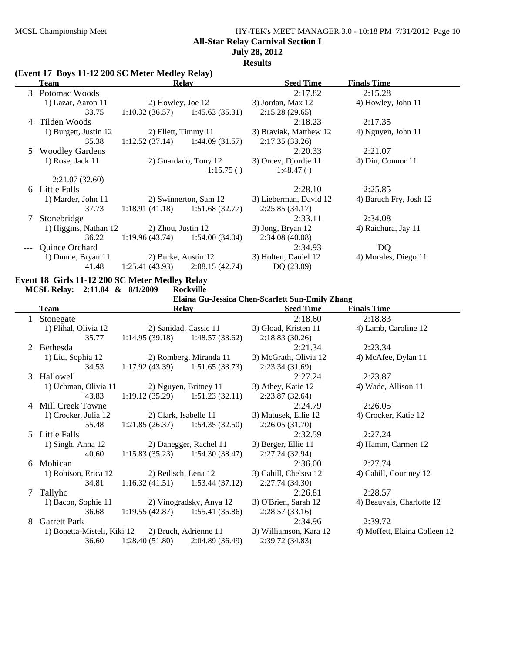# MCSL Championship Meet HY-TEK's MEET MANAGER 3.0 - 10:18 PM 7/31/2012 Page 10 **All-Star Relay Carnival Section I July 28, 2012**

**Results**

### **(Event 17 Boys 11-12 200 SC Meter Medley Relay)**

|   | Team                   | <b>Relay</b>                      |                       | <b>Seed Time</b>       | <b>Finals Time</b>     |
|---|------------------------|-----------------------------------|-----------------------|------------------------|------------------------|
|   | 3 Potomac Woods        |                                   |                       | 2:17.82                | 2:15.28                |
|   | 1) Lazar, Aaron 11     |                                   | 2) Howley, Joe 12     | 3) Jordan, Max 12      | 4) Howley, John 11     |
|   | 33.75                  | $1:10.32(36.57)$ $1:45.63(35.31)$ |                       | 2:15.28(29.65)         |                        |
| 4 | Tilden Woods           |                                   |                       | 2:18.23                | 2:17.35                |
|   | 1) Burgett, Justin 12  | 2) Ellett, Timmy 11               |                       | 3) Braviak, Matthew 12 | 4) Nguyen, John 11     |
|   | 35.38                  | $1:12.52(37.14)$ $1:44.09(31.57)$ |                       | 2:17.35(33.26)         |                        |
|   | <b>Woodley Gardens</b> |                                   |                       | 2:20.33                | 2:21.07                |
|   | $1)$ Rose, Jack $11$   |                                   | 2) Guardado, Tony 12  | 3) Orcev, Djordje 11   | 4) Din, Connor 11      |
|   |                        |                                   | 1:15.75()             | 1:48.47()              |                        |
|   | 2:21.07(32.60)         |                                   |                       |                        |                        |
| 6 | Little Falls           |                                   |                       | 2:28.10                | 2:25.85                |
|   | 1) Marder, John 11     |                                   | 2) Swinnerton, Sam 12 | 3) Lieberman, David 12 | 4) Baruch Fry, Josh 12 |
|   | 37.73                  | $1:18.91(41.18)$ $1:51.68(32.77)$ |                       | 2:25.85(34.17)         |                        |
|   | Stonebridge            |                                   |                       | 2:33.11                | 2:34.08                |
|   | 1) Higgins, Nathan 12  | 2) Zhou, Justin 12                |                       | 3) Jong, Bryan 12      | 4) Raichura, Jay 11    |
|   | 36.22                  | $1:19.96(43.74)$ $1:54.00(34.04)$ |                       | 2:34.08(40.08)         |                        |
|   | <b>Quince Orchard</b>  |                                   |                       | 2:34.93                | DQ                     |
|   | 1) Dunne, Bryan 11     |                                   | 2) Burke, Austin 12   | 3) Holten, Daniel 12   | 4) Morales, Diego 11   |
|   | 41.48                  | $1:25.41(43.93)$ $2:08.15(42.74)$ |                       | DQ (23.09)             |                        |

# **Event 18 Girls 11-12 200 SC Meter Medley Relay<br>MCSL Relay: 2:11.84 & 8/1/2009 Rockville**

**MCSL Relay: 2:11.84 & 8/1/2009** 

 $\overline{\phantom{a}}$ 

**Elaina Gu-Jessica Chen-Scarlett Sun-Emily Zhang**

| <b>Relay</b><br><b>Team</b> |                                                   | <b>Seed Time</b>                  | <b>Finals Time</b>      |                        |                               |
|-----------------------------|---------------------------------------------------|-----------------------------------|-------------------------|------------------------|-------------------------------|
| L                           | Stonegate                                         |                                   |                         | 2:18.60                | 2:18.83                       |
|                             | 1) Plihal, Olivia 12                              |                                   | 2) Sanidad, Cassie 11   | 3) Gload, Kristen 11   | 4) Lamb, Caroline 12          |
|                             | 35.77                                             | 1:14.95(39.18)                    | 1:48.57(33.62)          | 2:18.83(30.26)         |                               |
|                             | 2 Bethesda                                        |                                   |                         | 2:21.34                | 2:23.34                       |
|                             | 1) Liu, Sophia 12                                 |                                   | 2) Romberg, Miranda 11  | 3) McGrath, Olivia 12  | 4) McAfee, Dylan 11           |
|                             | 34.53                                             | $1:17.92(43.39)$ $1:51.65(33.73)$ |                         | 2:23.34(31.69)         |                               |
| 3                           | Hallowell                                         |                                   |                         | 2:27.24                | 2:23.87                       |
|                             | 1) Uchman, Olivia 11                              |                                   | 2) Nguyen, Britney 11   | 3) Athey, Katie 12     | 4) Wade, Allison 11           |
|                             | 43.83                                             | 1:19.12(35.29)                    | 1:51.23(32.11)          | 2:23.87(32.64)         |                               |
|                             | 4 Mill Creek Towne                                |                                   |                         | 2:24.79                | 2:26.05                       |
|                             | 1) Crocker, Julia 12                              | 2) Clark, Isabelle 11             |                         | 3) Matusek, Ellie 12   | 4) Crocker, Katie 12          |
|                             | 55.48                                             | 1:21.85(26.37)                    | 1:54.35(32.50)          | 2:26.05(31.70)         |                               |
|                             | 5 Little Falls                                    |                                   |                         | 2:32.59                | 2:27.24                       |
|                             | 1) Singh, Anna 12                                 |                                   | 2) Danegger, Rachel 11  | 3) Berger, Ellie 11    | 4) Hamm, Carmen 12            |
|                             | 40.60                                             | 1:15.83(35.23)                    | 1:54.30(38.47)          | 2:27.24 (32.94)        |                               |
| 6                           | Mohican                                           |                                   |                         | 2:36.00                | 2:27.74                       |
|                             | 1) Robison, Erica 12                              | 2) Redisch, Lena 12               |                         | 3) Cahill, Chelsea 12  | 4) Cahill, Courtney 12        |
|                             | 34.81                                             | 1:16.32(41.51)                    | 1:53.44(37.12)          | 2:27.74(34.30)         |                               |
| 7                           | Tallyho                                           |                                   |                         | 2:26.81                | 2:28.57                       |
|                             | 1) Bacon, Sophie 11                               |                                   | 2) Vinogradsky, Anya 12 | 3) O'Brien, Sarah 12   | 4) Beauvais, Charlotte 12     |
|                             | 36.68                                             | 1:19.55(42.87)                    | 1:55.41 (35.86)         | 2:28.57(33.16)         |                               |
| 8                           | <b>Garrett Park</b>                               |                                   |                         | 2:34.96                | 2:39.72                       |
|                             | 1) Bonetta-Misteli, Kiki 12 2) Bruch, Adrienne 11 |                                   |                         | 3) Williamson, Kara 12 | 4) Moffett, Elaina Colleen 12 |
|                             | 36.60                                             | 1:28.40(51.80)                    | 2:04.89 (36.49)         | 2:39.72 (34.83)        |                               |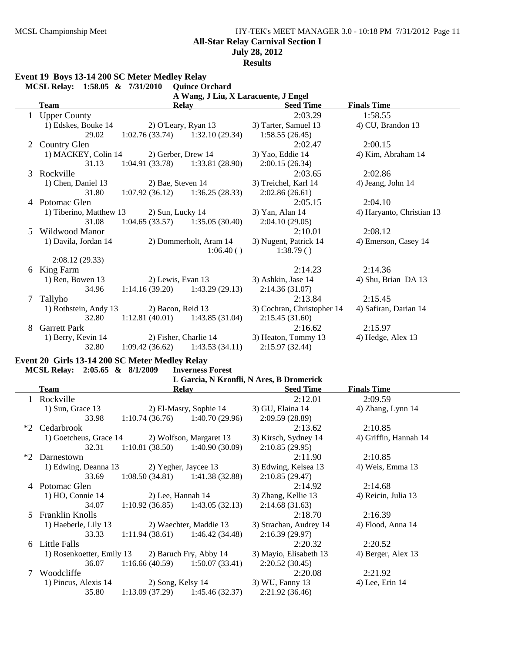## MCSL Championship Meet HY-TEK's MEET MANAGER 3.0 - 10:18 PM 7/31/2012 Page 11 **All-Star Relay Carnival Section I July 28, 2012 Results**

# **Event 19 Boys 13-14 200 SC Meter Medley Relay**

|   | MCSL Relay: 1:58.05 & 7/31/2010 |                                   | <b>Quince Orchard</b>                |                            |                           |
|---|---------------------------------|-----------------------------------|--------------------------------------|----------------------------|---------------------------|
|   |                                 |                                   | A Wang, J Liu, X Laracuente, J Engel |                            |                           |
|   | <b>Team</b>                     |                                   | <b>Relay</b>                         | <b>Seed Time</b>           | <b>Finals Time</b>        |
| 1 | <b>Upper County</b>             |                                   |                                      | 2:03.29                    | 1:58.55                   |
|   | 1) Edskes, Bouke 14             | 2) O'Leary, Ryan 13               |                                      | 3) Tarter, Samuel 13       | 4) CU, Brandon 13         |
|   | 29.02                           | $1:02.76(33.74)$ $1:32.10(29.34)$ |                                      | 1:58.55(26.45)             |                           |
| 2 | Country Glen                    |                                   |                                      | 2:02.47                    | 2:00.15                   |
|   | 1) MACKEY, Colin 14             | 2) Gerber, Drew 14                |                                      | 3) Yao, Eddie 14           | 4) Kim, Abraham 14        |
|   | 31.13                           | 1:04.91(33.78)                    | 1:33.81(28.90)                       | 2:00.15(26.34)             |                           |
| 3 | Rockville                       |                                   |                                      | 2:03.65                    | 2:02.86                   |
|   | 1) Chen, Daniel 13              | 2) Bae, Steven 14                 |                                      | 3) Treichel, Karl 14       | 4) Jeang, John 14         |
|   | 31.80                           | $1:07.92(36.12)$ $1:36.25(28.33)$ |                                      | 2:02.86(26.61)             |                           |
|   | 4 Potomac Glen                  |                                   |                                      | 2:05.15                    | 2:04.10                   |
|   | 1) Tiberino, Matthew 13         | 2) Sun, Lucky 14                  |                                      | 3) Yan, Alan 14            | 4) Haryanto, Christian 13 |
|   | 31.08                           | $1:04.65(33.57)$ $1:35.05(30.40)$ |                                      | 2:04.10(29.05)             |                           |
| 5 | Wildwood Manor                  |                                   |                                      | 2:10.01                    | 2:08.12                   |
|   | 1) Davila, Jordan 14            |                                   | 2) Dommerholt, Aram 14               | 3) Nugent, Patrick 14      | 4) Emerson, Casey 14      |
|   |                                 |                                   | 1:06.40()                            | 1:38.79()                  |                           |
|   | 2:08.12(29.33)                  |                                   |                                      |                            |                           |
| 6 | King Farm                       |                                   |                                      | 2:14.23                    | 2:14.36                   |
|   | 1) Ren, Bowen 13                | 2) Lewis, Evan 13                 |                                      | 3) Ashkin, Jase 14         | 4) Shu, Brian DA 13       |
|   | 34.96                           | $1:14.16(39.20)$ $1:43.29(29.13)$ |                                      | 2:14.36(31.07)             |                           |
| 7 | Tallyho                         |                                   |                                      | 2:13.84                    | 2:15.45                   |
|   | 1) Rothstein, Andy 13           | 2) Bacon, Reid 13                 |                                      | 3) Cochran, Christopher 14 | 4) Safiran, Darian 14     |
|   | 32.80                           | $1:12.81(40.01)$ $1:43.85(31.04)$ |                                      | 2:15.45(31.60)             |                           |
| 8 | <b>Garrett Park</b>             |                                   |                                      | 2:16.62                    | 2:15.97                   |
|   | 1) Berry, Kevin 14              | 2) Fisher, Charlie 14             |                                      | 3) Heaton, Tommy 13        | 4) Hedge, Alex 13         |
|   | 32.80                           | 1:09.42(36.62)                    | 1:43.53(34.11)                       | 2:15.97(32.44)             |                           |
|   |                                 |                                   |                                      |                            |                           |

## **Event 20 Girls 13-14 200 SC Meter Medley Relay**

|      |                           |                                   | L Garcia, N Kronfli, N Ares, B Dromerick |                        |                       |  |  |  |  |  |
|------|---------------------------|-----------------------------------|------------------------------------------|------------------------|-----------------------|--|--|--|--|--|
|      | <b>Team</b>               |                                   | <b>Relay</b>                             | <b>Seed Time</b>       | <b>Finals Time</b>    |  |  |  |  |  |
|      | Rockville                 |                                   |                                          | 2:12.01                | 2:09.59               |  |  |  |  |  |
|      | 1) Sun, Grace 13          |                                   | 2) El-Masry, Sophie 14                   | 3) GU, Elaina 14       | 4) Zhang, Lynn 14     |  |  |  |  |  |
|      | 33.98                     | 1:10.74(36.76)                    | 1:40.70(29.96)                           | 2:09.59(28.89)         |                       |  |  |  |  |  |
| $*2$ | Cedarbrook                |                                   |                                          | 2:13.62                | 2:10.85               |  |  |  |  |  |
|      | 1) Goetcheus, Grace 14    |                                   | 2) Wolfson, Margaret 13                  | 3) Kirsch, Sydney 14   | 4) Griffin, Hannah 14 |  |  |  |  |  |
|      | 32.31                     | 1:10.81(38.50)                    | 1:40.90 (30.09)                          | 2:10.85(29.95)         |                       |  |  |  |  |  |
| $*2$ | Darnestown                |                                   |                                          | 2:11.90                | 2:10.85               |  |  |  |  |  |
|      | 1) Edwing, Deanna 13      |                                   | 2) Yegher, Jaycee 13                     | 3) Edwing, Kelsea 13   | 4) Weis, Emma 13      |  |  |  |  |  |
|      | 33.69                     |                                   | $1:08.50(34.81)$ $1:41.38(32.88)$        | 2:10.85(29.47)         |                       |  |  |  |  |  |
|      | 4 Potomac Glen            |                                   |                                          | 2:14.92                | 2:14.68               |  |  |  |  |  |
|      | 1) HO, Connie 14          | 2) Lee, Hannah 14                 |                                          | 3) Zhang, Kellie 13    | 4) Reicin, Julia 13   |  |  |  |  |  |
|      | 34.07                     | 1:10.92(36.85)                    | 1:43.05(32.13)                           | 2:14.68(31.63)         |                       |  |  |  |  |  |
| 5.   | <b>Franklin Knolls</b>    |                                   |                                          | 2:18.70                | 2:16.39               |  |  |  |  |  |
|      | 1) Haeberle, Lily 13      |                                   | 2) Waechter, Maddie 13                   | 3) Strachan, Audrey 14 | 4) Flood, Anna 14     |  |  |  |  |  |
|      | 33.33                     |                                   | $1:11.94(38.61)$ $1:46.42(34.48)$        | 2:16.39(29.97)         |                       |  |  |  |  |  |
|      | 6 Little Falls            |                                   |                                          | 2:20.32                | 2:20.52               |  |  |  |  |  |
|      | 1) Rosenkoetter, Emily 13 |                                   | 2) Baruch Fry, Abby 14                   | 3) Mayio, Elisabeth 13 | 4) Berger, Alex 13    |  |  |  |  |  |
|      | 36.07                     | $1:16.66(40.59)$ $1:50.07(33.41)$ |                                          | 2:20.52(30.45)         |                       |  |  |  |  |  |
|      | Woodcliffe                |                                   |                                          | 2:20.08                | 2:21.92               |  |  |  |  |  |
|      | 1) Pincus, Alexis 14      | 2) Song, Kelsy 14                 |                                          | 3) WU, Fanny 13        | 4) Lee, Erin 14       |  |  |  |  |  |
|      | 35.80                     | 1:13.09(37.29)                    | 1:45.46 (32.37)                          | 2:21.92(36.46)         |                       |  |  |  |  |  |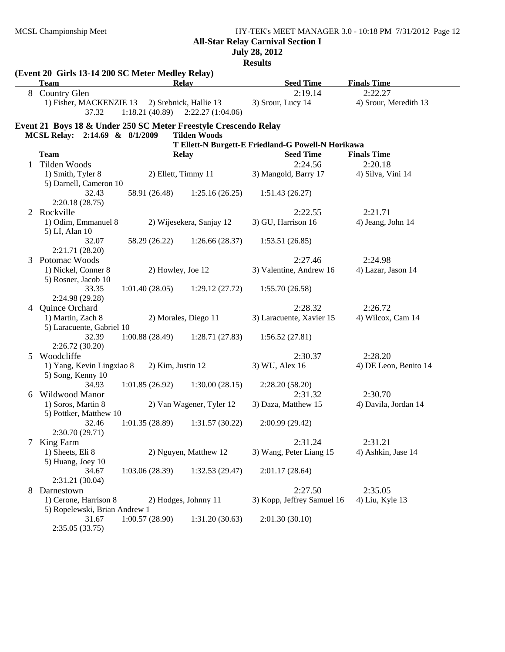# MCSL Championship Meet HY-TEK's MEET MANAGER 3.0 - 10:18 PM 7/31/2012 Page 12 **All-Star Relay Carnival Section I July 28, 2012**

**Results**

|   | (Event 20 Girls 13-14 200 SC Meter Medley Relay)<br><b>Team</b> |                     | <b>Relay</b>                                                  | <b>Seed Time</b>                                   | <b>Finals Time</b>    |
|---|-----------------------------------------------------------------|---------------------|---------------------------------------------------------------|----------------------------------------------------|-----------------------|
| 8 | Country Glen                                                    |                     |                                                               | 2:19.14                                            | 2:22.27               |
|   | 1) Fisher, MACKENZIE 13<br>37.32                                |                     | 2) Srebnick, Hallie 13<br>$1:18.21(40.89)$ $2:22.27(1:04.06)$ | 3) Srour, Lucy 14                                  | 4) Srour, Meredith 13 |
|   | Event 21 Boys 18 & Under 250 SC Meter Freestyle Crescendo Relay |                     |                                                               |                                                    |                       |
|   | MCSL Relay: 2:14.69 & 8/1/2009                                  |                     | <b>Tilden Woods</b>                                           |                                                    |                       |
|   |                                                                 |                     |                                                               | T Ellett-N Burgett-E Friedland-G Powell-N Horikawa |                       |
|   | <b>Team</b><br>Relay                                            |                     |                                                               | <b>Seed Time</b><br>2:24.56                        | <b>Finals Time</b>    |
| 1 | Tilden Woods                                                    |                     |                                                               |                                                    | 2:20.18               |
|   | 1) Smith, Tyler 8<br>5) Darnell, Cameron 10                     | 2) Ellett, Timmy 11 |                                                               | 3) Mangold, Barry 17                               | 4) Silva, Vini 14     |
|   | 32.43                                                           | 58.91 (26.48)       | 1:25.16(26.25)                                                | 1:51.43(26.27)                                     |                       |
|   | 2:20.18(28.75)                                                  |                     |                                                               |                                                    |                       |
| 2 | Rockville                                                       |                     |                                                               | 2:22.55                                            | 2:21.71               |
|   | 1) Odim, Emmanuel 8                                             |                     | 2) Wijesekera, Sanjay 12                                      | 3) GU, Harrison 16                                 | 4) Jeang, John 14     |
|   | 5) LI, Alan 10                                                  |                     |                                                               |                                                    |                       |
|   | 32.07                                                           | 58.29 (26.22)       | 1:26.66(28.37)                                                | 1:53.51(26.85)                                     |                       |
|   | 2:21.71 (28.20)                                                 |                     |                                                               |                                                    |                       |
| 3 | Potomac Woods                                                   |                     |                                                               | 2:27.46                                            | 2:24.98               |
|   | 1) Nickel, Conner 8                                             | 2) Howley, Joe 12   |                                                               | 3) Valentine, Andrew 16                            | 4) Lazar, Jason 14    |
|   | 5) Rosner, Jacob 10                                             |                     |                                                               |                                                    |                       |
|   | 33.35                                                           | 1:01.40(28.05)      | 1:29.12(27.72)                                                | 1:55.70(26.58)                                     |                       |
|   | 2:24.98 (29.28)                                                 |                     |                                                               |                                                    |                       |
| 4 | Quince Orchard                                                  |                     |                                                               | 2:28.32                                            | 2:26.72               |
|   | 1) Martin, Zach 8                                               |                     | 2) Morales, Diego 11                                          | 3) Laracuente, Xavier 15                           | 4) Wilcox, Cam 14     |
|   | 5) Laracuente, Gabriel 10                                       |                     |                                                               |                                                    |                       |
|   | 32.39                                                           | 1:00.88(28.49)      | 1:28.71(27.83)                                                | 1:56.52(27.81)                                     |                       |
|   | 2:26.72(30.20)                                                  |                     |                                                               |                                                    |                       |
| 5 | Woodcliffe                                                      |                     |                                                               | 2:30.37                                            | 2:28.20               |
|   | 1) Yang, Kevin Lingxiao 8                                       | 2) Kim, Justin 12   |                                                               | 3) WU, Alex 16                                     | 4) DE Leon, Benito 14 |
|   | 5) Song, Kenny 10                                               |                     |                                                               |                                                    |                       |
|   | 34.93                                                           | 1:01.85(26.92)      | 1:30.00(28.15)                                                | 2:28.20(58.20)                                     |                       |
| 6 | Wildwood Manor                                                  |                     |                                                               | 2:31.32                                            | 2:30.70               |
|   | 1) Soros, Martin 8                                              |                     | 2) Van Wagener, Tyler 12                                      | 3) Daza, Matthew 15                                | 4) Davila, Jordan 14  |
|   | 5) Pottker, Matthew 10                                          |                     |                                                               |                                                    |                       |
|   | 32.46                                                           | 1:01.35(28.89)      | 1:31.57(30.22)                                                | 2:00.99(29.42)                                     |                       |
|   | 2:30.70(29.71)                                                  |                     |                                                               |                                                    |                       |
|   | King Farm                                                       |                     |                                                               | 2:31.24                                            | 2:31.21               |
|   | 1) Sheets, Eli 8                                                |                     | 2) Nguyen, Matthew 12                                         | 3) Wang, Peter Liang 15                            | 4) Ashkin, Jase 14    |
|   | 5) Huang, Joey 10                                               |                     |                                                               |                                                    |                       |
|   | 34.67                                                           | 1:03.06(28.39)      | 1:32.53(29.47)                                                | 2:01.17(28.64)                                     |                       |
|   | 2:31.21 (30.04)                                                 |                     |                                                               |                                                    |                       |
| 8 | Darnestown                                                      |                     |                                                               | 2:27.50                                            | 2:35.05               |
|   | 1) Cerone, Harrison 8                                           |                     | 2) Hodges, Johnny 11                                          | 3) Kopp, Jeffrey Samuel 16                         | 4) Liu, Kyle 13       |
|   | 5) Ropelewski, Brian Andrew 1                                   |                     |                                                               |                                                    |                       |
|   | 31.67                                                           | 1:00.57(28.90)      | 1:31.20(30.63)                                                | 2:01.30(30.10)                                     |                       |
|   | 2:35.05(33.75)                                                  |                     |                                                               |                                                    |                       |